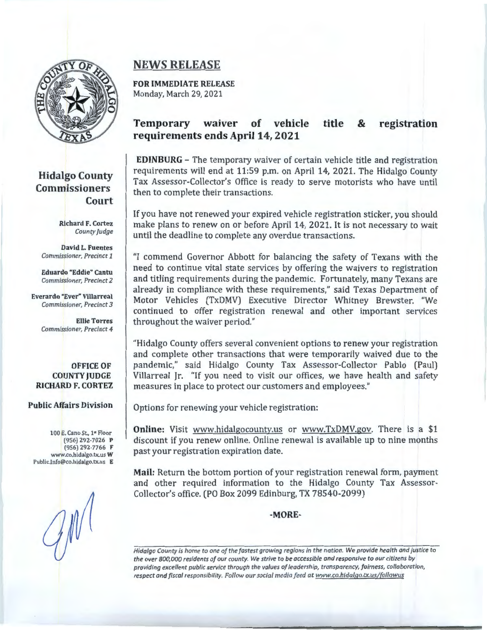

### **Hidalgo County Commissioners Court**

Richard F. Cortez *County judge* 

David L. Fuentes *Commissioner, Precinct 1* 

Eduardo "Eddie" Cantu *Commissioner, Precinct 2* 

Everardo "Ever" Villarreal *Commissioner, Precinct 3* 

> Ellie Torres *Commissioner, Precinct 4*

**OFFICE OF COUNTY JUDGE RICHARD F. CORTEZ** 

#### **Public Affairs Division**

100 E. Cano St., 1<sup>\*</sup> Floor (956) 292-7026 p (956) 292-7766 F www.co.hidalgo.tx.us W Public.Info@co.hidalgo.tx.us E

# **NEWS RELEASE**

**FOR IMMEDIATE RELEASE**  Monday, March 29, 2021

#### **Temporary waiver of vehicle requirements ends April 14, 2021 title** & **registration**

**EDINBURG** - The temporary waiver of certain vehicle title and registration requirements will end at 11:59 p.m. on April 14, 2021. The Hidalgo County Tax Assessor-Collector's Office is ready to serve motorists who have until then to complete their transactions.

If you have not renewed your expired vehicle registration sticker, you should make plans to renew on or before April 14, 2021. It is not necessary to wait until the deadline to complete any overdue transactions.

"I commend Governor Abbott for balancing the safety of Texans with the need to continue vital state services by offering the waivers to registration and titling requirements during the pandemic. Fortunately, many Texans are already in compliance with these requirements," said Texas Department of Motor Vehicles (TxDMV) Executive Director Whitney Brewster. "We continued to offer registration renewal and other important services throughout the waiver period."

"Hidalgo County offers several convenient options to renew your registration and complete other transactions that were temporarily waived due to the pandemic," said Hidalgo County Tax Assessor-Collector Pablo (Paul) Villarreal Jr. "If you need to visit our offices, we have health and safety measures in place to protect our customers and employees."

Options for renewing your vehicle registration:

**Online:** Visit www.hidalgocounty.us or www.TxDMV.gov. There is a \$1 discount if you renew online. Online renewal is available up to nine months past your registration expiration date.

**Mail:** Return the bottom portion of your registration renewal form, payment and other required information to the Hidalgo County Tax Assessor-Collector's office. (PO Box 2099 Edinburg, TX 78540-2099)

**-MORE-**

*Hidalgo County is home to one of the fastest growing regions in the nation. We provide health and justice to the over 800,000 residents of our county. We strive to be accessible and responsive to our citizens by providing excellent public service through the values of leadership, transparency, fairness, collaboration, respect and fiscal responsibility. Follow our social media f eed at www.co.hidalgo.tx.us/[ollowus*